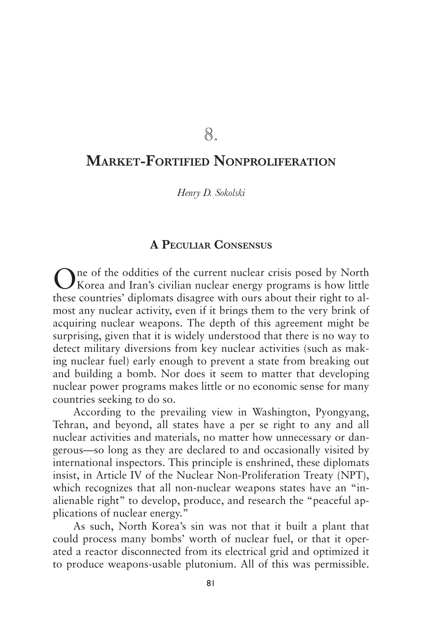8.

# **Market-Fortified Nonproliferation**

*Henry D. Sokolski*

# **A Peculiar Consensus**

One of the oddities of the current nuclear crisis posed by North Korea and Iran's civilian nuclear energy programs is how little these countries' diplomats disagree with ours about their right to almost any nuclear activity, even if it brings them to the very brink of acquiring nuclear weapons. The depth of this agreement might be surprising, given that it is widely understood that there is no way to detect military diversions from key nuclear activities (such as making nuclear fuel) early enough to prevent a state from breaking out and building a bomb. Nor does it seem to matter that developing nuclear power programs makes little or no economic sense for many countries seeking to do so.

According to the prevailing view in Washington, Pyongyang, Tehran, and beyond, all states have a per se right to any and all nuclear activities and materials, no matter how unnecessary or dangerous—so long as they are declared to and occasionally visited by international inspectors. This principle is enshrined, these diplomats insist, in Article IV of the Nuclear Non-Proliferation Treaty (NPT), which recognizes that all non-nuclear weapons states have an "inalienable right" to develop, produce, and research the "peaceful applications of nuclear energy."

As such, North Korea's sin was not that it built a plant that could process many bombs' worth of nuclear fuel, or that it operated a reactor disconnected from its electrical grid and optimized it to produce weapons-usable plutonium. All of this was permissible.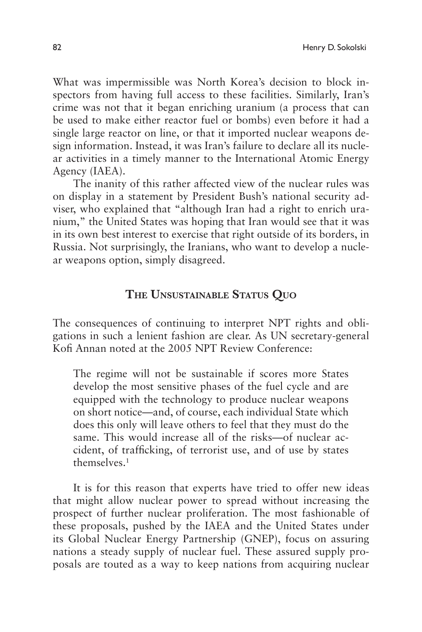What was impermissible was North Korea's decision to block inspectors from having full access to these facilities. Similarly, Iran's crime was not that it began enriching uranium (a process that can be used to make either reactor fuel or bombs) even before it had a single large reactor on line, or that it imported nuclear weapons design information. Instead, it was Iran's failure to declare all its nuclear activities in a timely manner to the International Atomic Energy Agency (IAEA).

The inanity of this rather affected view of the nuclear rules was on display in a statement by President Bush's national security adviser, who explained that "although Iran had a right to enrich uranium," the United States was hoping that Iran would see that it was in its own best interest to exercise that right outside of its borders, in Russia. Not surprisingly, the Iranians, who want to develop a nuclear weapons option, simply disagreed.

## **The Unsustainable Status Quo**

The consequences of continuing to interpret NPT rights and obligations in such a lenient fashion are clear. As UN secretary-general Kofi Annan noted at the 2005 NPT Review Conference:

The regime will not be sustainable if scores more States develop the most sensitive phases of the fuel cycle and are equipped with the technology to produce nuclear weapons on short notice—and, of course, each individual State which does this only will leave others to feel that they must do the same. This would increase all of the risks—of nuclear accident, of trafficking, of terrorist use, and of use by states  $th$ emselves.<sup>1</sup>

It is for this reason that experts have tried to offer new ideas that might allow nuclear power to spread without increasing the prospect of further nuclear proliferation. The most fashionable of these proposals, pushed by the IAEA and the United States under its Global Nuclear Energy Partnership (GNEP), focus on assuring nations a steady supply of nuclear fuel. These assured supply proposals are touted as a way to keep nations from acquiring nuclear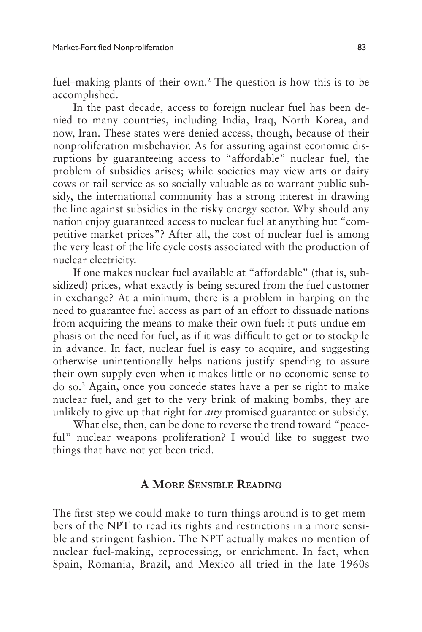fuel–making plants of their own.<sup>2</sup> The question is how this is to be accomplished.

In the past decade, access to foreign nuclear fuel has been denied to many countries, including India, Iraq, North Korea, and now, Iran. These states were denied access, though, because of their nonproliferation misbehavior. As for assuring against economic disruptions by guaranteeing access to "affordable" nuclear fuel, the problem of subsidies arises; while societies may view arts or dairy cows or rail service as so socially valuable as to warrant public subsidy, the international community has a strong interest in drawing the line against subsidies in the risky energy sector. Why should any nation enjoy guaranteed access to nuclear fuel at anything but "competitive market prices"? After all, the cost of nuclear fuel is among the very least of the life cycle costs associated with the production of nuclear electricity.

If one makes nuclear fuel available at "affordable" (that is, subsidized) prices, what exactly is being secured from the fuel customer in exchange? At a minimum, there is a problem in harping on the need to guarantee fuel access as part of an effort to dissuade nations from acquiring the means to make their own fuel: it puts undue emphasis on the need for fuel, as if it was difficult to get or to stockpile in advance. In fact, nuclear fuel is easy to acquire, and suggesting otherwise unintentionally helps nations justify spending to assure their own supply even when it makes little or no economic sense to do so.3 Again, once you concede states have a per se right to make nuclear fuel, and get to the very brink of making bombs, they are unlikely to give up that right for *any* promised guarantee or subsidy.

What else, then, can be done to reverse the trend toward "peaceful" nuclear weapons proliferation? I would like to suggest two things that have not yet been tried.

# **A More Sensible Reading**

The first step we could make to turn things around is to get members of the NPT to read its rights and restrictions in a more sensible and stringent fashion. The NPT actually makes no mention of nuclear fuel-making, reprocessing, or enrichment. In fact, when Spain, Romania, Brazil, and Mexico all tried in the late 1960s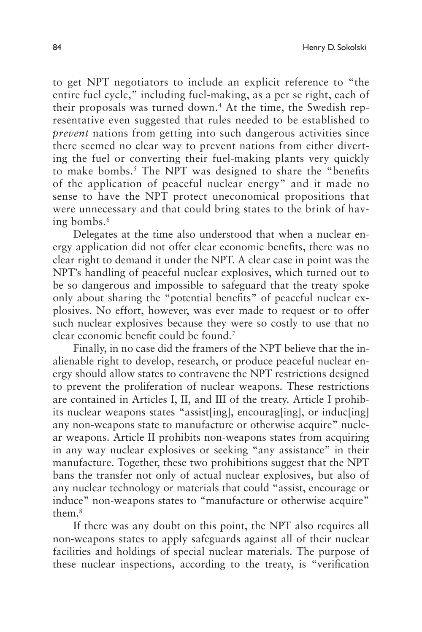to get NPT negotiators to include an explicit reference to "the entire fuel cycle," including fuel-making, as a per se right, each of their proposals was turned down.<sup>4</sup> At the time, the Swedish representative even suggested that rules needed to be established to *prevent* nations from getting into such dangerous activities since there seemed no clear way to prevent nations from either diverting the fuel or converting their fuel-making plants very quickly to make bombs.<sup>5</sup> The NPT was designed to share the "benefits of the application of peaceful nuclear energy" and it made no sense to have the NPT protect uneconomical propositions that were unnecessary and that could bring states to the brink of having bombs.<sup>6</sup>

Delegates at the time also understood that when a nuclear energy application did not offer clear economic benefits, there was no clear right to demand it under the NPT. A clear case in point was the NPT's handling of peaceful nuclear explosives, which turned out to be so dangerous and impossible to safeguard that the treaty spoke only about sharing the "potential benefits" of peaceful nuclear explosives. No effort, however, was ever made to request or to offer such nuclear explosives because they were so costly to use that no clear economic benefit could be found.7

Finally, in no case did the framers of the NPT believe that the inalienable right to develop, research, or produce peaceful nuclear energy should allow states to contravene the NPT restrictions designed to prevent the proliferation of nuclear weapons. These restrictions are contained in Articles I, II, and III of the treaty. Article I prohibits nuclear weapons states "assist[ing], encourag[ing], or induc[ing] any non-weapons state to manufacture or otherwise acquire" nuclear weapons. Article II prohibits non-weapons states from acquiring in any way nuclear explosives or seeking "any assistance" in their manufacture. Together, these two prohibitions suggest that the NPT bans the transfer not only of actual nuclear explosives, but also of any nuclear technology or materials that could "assist, encourage or induce" non-weapons states to "manufacture or otherwise acquire" them.8

If there was any doubt on this point, the NPT also requires all non-weapons states to apply safeguards against all of their nuclear facilities and holdings of special nuclear materials. The purpose of these nuclear inspections, according to the treaty, is "verification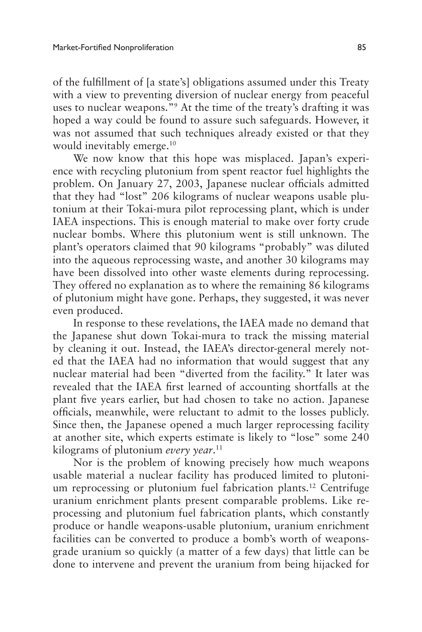of the fulfillment of [a state's] obligations assumed under this Treaty with a view to preventing diversion of nuclear energy from peaceful uses to nuclear weapons."9 At the time of the treaty's drafting it was hoped a way could be found to assure such safeguards. However, it was not assumed that such techniques already existed or that they would inevitably emerge.<sup>10</sup>

We now know that this hope was misplaced. Japan's experience with recycling plutonium from spent reactor fuel highlights the problem. On January 27, 2003, Japanese nuclear officials admitted that they had "lost" 206 kilograms of nuclear weapons usable plutonium at their Tokai-mura pilot reprocessing plant, which is under IAEA inspections. This is enough material to make over forty crude nuclear bombs. Where this plutonium went is still unknown. The plant's operators claimed that 90 kilograms "probably" was diluted into the aqueous reprocessing waste, and another 30 kilograms may have been dissolved into other waste elements during reprocessing. They offered no explanation as to where the remaining 86 kilograms of plutonium might have gone. Perhaps, they suggested, it was never even produced.

In response to these revelations, the IAEA made no demand that the Japanese shut down Tokai-mura to track the missing material by cleaning it out. Instead, the IAEA's director-general merely noted that the IAEA had no information that would suggest that any nuclear material had been "diverted from the facility." It later was revealed that the IAEA first learned of accounting shortfalls at the plant five years earlier, but had chosen to take no action. Japanese officials, meanwhile, were reluctant to admit to the losses publicly. Since then, the Japanese opened a much larger reprocessing facility at another site, which experts estimate is likely to "lose" some 240 kilograms of plutonium *every year*. 11

Nor is the problem of knowing precisely how much weapons usable material a nuclear facility has produced limited to plutonium reprocessing or plutonium fuel fabrication plants.12 Centrifuge uranium enrichment plants present comparable problems. Like reprocessing and plutonium fuel fabrication plants, which constantly produce or handle weapons-usable plutonium, uranium enrichment facilities can be converted to produce a bomb's worth of weaponsgrade uranium so quickly (a matter of a few days) that little can be done to intervene and prevent the uranium from being hijacked for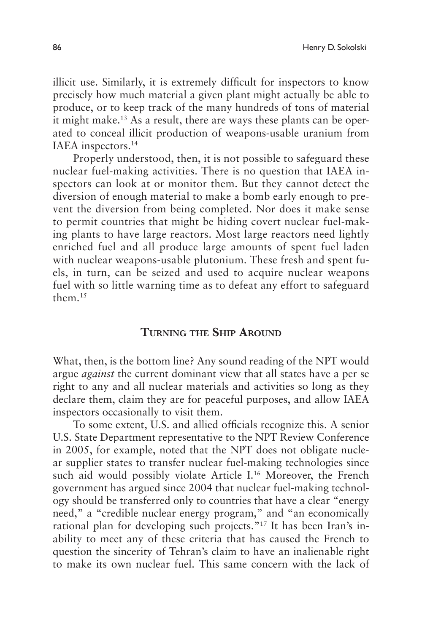illicit use. Similarly, it is extremely difficult for inspectors to know precisely how much material a given plant might actually be able to produce, or to keep track of the many hundreds of tons of material it might make.13 As a result, there are ways these plants can be operated to conceal illicit production of weapons-usable uranium from IAEA inspectors.14

Properly understood, then, it is not possible to safeguard these nuclear fuel-making activities. There is no question that IAEA inspectors can look at or monitor them. But they cannot detect the diversion of enough material to make a bomb early enough to prevent the diversion from being completed. Nor does it make sense to permit countries that might be hiding covert nuclear fuel-making plants to have large reactors. Most large reactors need lightly enriched fuel and all produce large amounts of spent fuel laden with nuclear weapons-usable plutonium. These fresh and spent fuels, in turn, can be seized and used to acquire nuclear weapons fuel with so little warning time as to defeat any effort to safeguard them.15

#### **Turning the Ship Around**

What, then, is the bottom line? Any sound reading of the NPT would argue *against* the current dominant view that all states have a per se right to any and all nuclear materials and activities so long as they declare them, claim they are for peaceful purposes, and allow IAEA inspectors occasionally to visit them.

To some extent, U.S. and allied officials recognize this. A senior U.S. State Department representative to the NPT Review Conference in 2005, for example, noted that the NPT does not obligate nuclear supplier states to transfer nuclear fuel-making technologies since such aid would possibly violate Article I.<sup>16</sup> Moreover, the French government has argued since 2004 that nuclear fuel-making technology should be transferred only to countries that have a clear "energy need," a "credible nuclear energy program," and "an economically rational plan for developing such projects."17 It has been Iran's inability to meet any of these criteria that has caused the French to question the sincerity of Tehran's claim to have an inalienable right to make its own nuclear fuel. This same concern with the lack of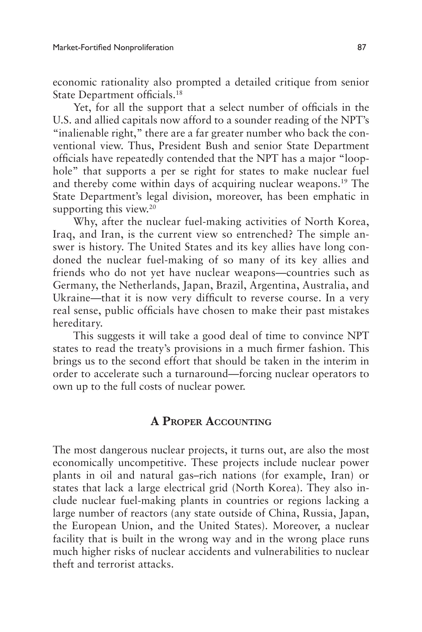economic rationality also prompted a detailed critique from senior State Department officials.18

Yet, for all the support that a select number of officials in the U.S. and allied capitals now afford to a sounder reading of the NPT's "inalienable right," there are a far greater number who back the conventional view. Thus, President Bush and senior State Department officials have repeatedly contended that the NPT has a major "loophole" that supports a per se right for states to make nuclear fuel and thereby come within days of acquiring nuclear weapons.19 The State Department's legal division, moreover, has been emphatic in supporting this view.<sup>20</sup>

Why, after the nuclear fuel-making activities of North Korea, Iraq, and Iran, is the current view so entrenched? The simple answer is history. The United States and its key allies have long condoned the nuclear fuel-making of so many of its key allies and friends who do not yet have nuclear weapons—countries such as Germany, the Netherlands, Japan, Brazil, Argentina, Australia, and Ukraine—that it is now very difficult to reverse course. In a very real sense, public officials have chosen to make their past mistakes hereditary.

This suggests it will take a good deal of time to convince NPT states to read the treaty's provisions in a much firmer fashion. This brings us to the second effort that should be taken in the interim in order to accelerate such a turnaround—forcing nuclear operators to own up to the full costs of nuclear power.

## **A Proper Accounting**

The most dangerous nuclear projects, it turns out, are also the most economically uncompetitive. These projects include nuclear power plants in oil and natural gas–rich nations (for example, Iran) or states that lack a large electrical grid (North Korea). They also include nuclear fuel-making plants in countries or regions lacking a large number of reactors (any state outside of China, Russia, Japan, the European Union, and the United States). Moreover, a nuclear facility that is built in the wrong way and in the wrong place runs much higher risks of nuclear accidents and vulnerabilities to nuclear theft and terrorist attacks.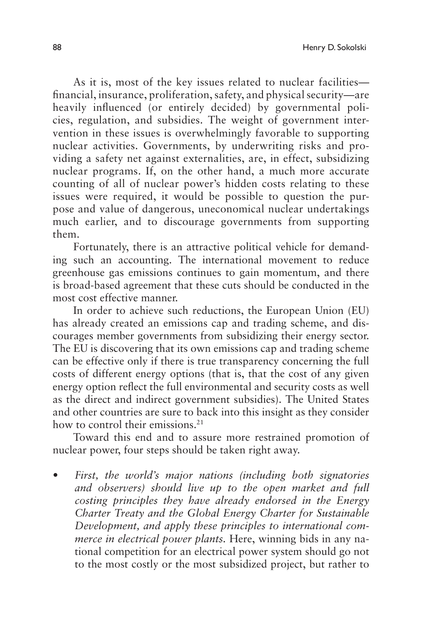As it is, most of the key issues related to nuclear facilities financial, insurance, proliferation, safety, and physical security—are heavily influenced (or entirely decided) by governmental policies, regulation, and subsidies. The weight of government intervention in these issues is overwhelmingly favorable to supporting nuclear activities. Governments, by underwriting risks and providing a safety net against externalities, are, in effect, subsidizing nuclear programs. If, on the other hand, a much more accurate counting of all of nuclear power's hidden costs relating to these issues were required, it would be possible to question the purpose and value of dangerous, uneconomical nuclear undertakings much earlier, and to discourage governments from supporting them.

Fortunately, there is an attractive political vehicle for demanding such an accounting. The international movement to reduce greenhouse gas emissions continues to gain momentum, and there is broad-based agreement that these cuts should be conducted in the most cost effective manner.

In order to achieve such reductions, the European Union (EU) has already created an emissions cap and trading scheme, and discourages member governments from subsidizing their energy sector. The EU is discovering that its own emissions cap and trading scheme can be effective only if there is true transparency concerning the full costs of different energy options (that is, that the cost of any given energy option reflect the full environmental and security costs as well as the direct and indirect government subsidies). The United States and other countries are sure to back into this insight as they consider how to control their emissions<sup>21</sup>

Toward this end and to assure more restrained promotion of nuclear power, four steps should be taken right away.

First, the world's major nations (including both signatories *and observers) should live up to the open market and full costing principles they have already endorsed in the Energy Charter Treaty and the Global Energy Charter for Sustainable Development, and apply these principles to international commerce in electrical power plants.* Here, winning bids in any national competition for an electrical power system should go not to the most costly or the most subsidized project, but rather to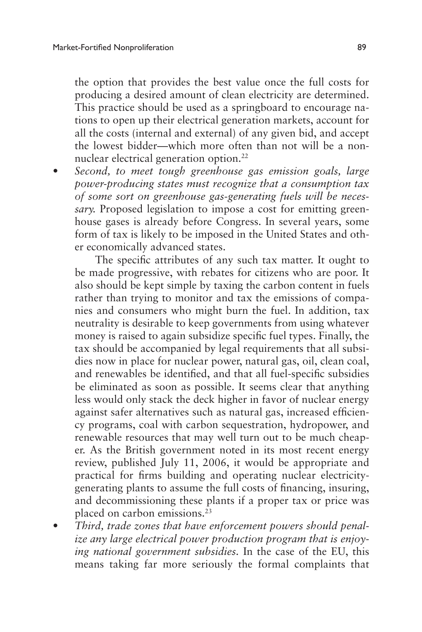the option that provides the best value once the full costs for producing a desired amount of clean electricity are determined. This practice should be used as a springboard to encourage nations to open up their electrical generation markets, account for all the costs (internal and external) of any given bid, and accept the lowest bidder—which more often than not will be a nonnuclear electrical generation option.<sup>22</sup>

Second, to meet tough greenhouse gas emission goals, large *power-producing states must recognize that a consumption tax of some sort on greenhouse gas-generating fuels will be necessary.* Proposed legislation to impose a cost for emitting greenhouse gases is already before Congress. In several years, some form of tax is likely to be imposed in the United States and other economically advanced states.

The specific attributes of any such tax matter. It ought to be made progressive, with rebates for citizens who are poor. It also should be kept simple by taxing the carbon content in fuels rather than trying to monitor and tax the emissions of companies and consumers who might burn the fuel. In addition, tax neutrality is desirable to keep governments from using whatever money is raised to again subsidize specific fuel types. Finally, the tax should be accompanied by legal requirements that all subsidies now in place for nuclear power, natural gas, oil, clean coal, and renewables be identified, and that all fuel-specific subsidies be eliminated as soon as possible. It seems clear that anything less would only stack the deck higher in favor of nuclear energy against safer alternatives such as natural gas, increased efficiency programs, coal with carbon sequestration, hydropower, and renewable resources that may well turn out to be much cheaper. As the British government noted in its most recent energy review, published July 11, 2006, it would be appropriate and practical for firms building and operating nuclear electricitygenerating plants to assume the full costs of financing, insuring, and decommissioning these plants if a proper tax or price was placed on carbon emissions.23

Third, trade zones that have enforcement powers should penal*ize any large electrical power production program that is enjoying national government subsidies.* In the case of the EU, this means taking far more seriously the formal complaints that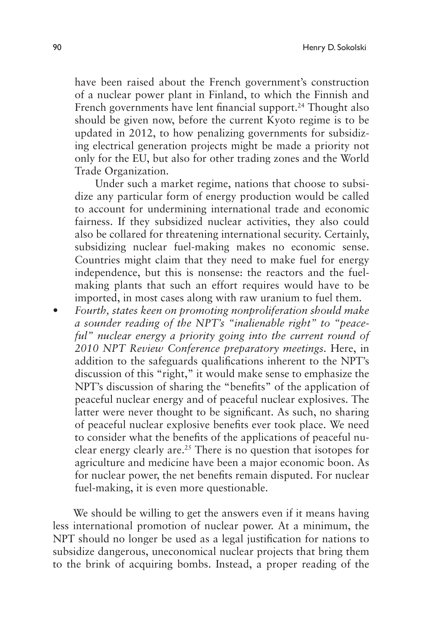have been raised about the French government's construction of a nuclear power plant in Finland, to which the Finnish and French governments have lent financial support.<sup>24</sup> Thought also should be given now, before the current Kyoto regime is to be updated in 2012, to how penalizing governments for subsidizing electrical generation projects might be made a priority not only for the EU, but also for other trading zones and the World Trade Organization.

Under such a market regime, nations that choose to subsidize any particular form of energy production would be called to account for undermining international trade and economic fairness. If they subsidized nuclear activities, they also could also be collared for threatening international security. Certainly, subsidizing nuclear fuel-making makes no economic sense. Countries might claim that they need to make fuel for energy independence, but this is nonsense: the reactors and the fuelmaking plants that such an effort requires would have to be imported, in most cases along with raw uranium to fuel them.

Fourth, states keen on promoting nonproliferation should make *a sounder reading of the NPT's "inalienable right" to "peaceful" nuclear energy a priority going into the current round of 2010 NPT Review Conference preparatory meetings.* Here, in addition to the safeguards qualifications inherent to the NPT's discussion of this "right," it would make sense to emphasize the NPT's discussion of sharing the "benefits" of the application of peaceful nuclear energy and of peaceful nuclear explosives. The latter were never thought to be significant. As such, no sharing of peaceful nuclear explosive benefits ever took place. We need to consider what the benefits of the applications of peaceful nuclear energy clearly are.25 There is no question that isotopes for agriculture and medicine have been a major economic boon. As for nuclear power, the net benefits remain disputed. For nuclear fuel-making, it is even more questionable.

We should be willing to get the answers even if it means having less international promotion of nuclear power. At a minimum, the NPT should no longer be used as a legal justification for nations to subsidize dangerous, uneconomical nuclear projects that bring them to the brink of acquiring bombs. Instead, a proper reading of the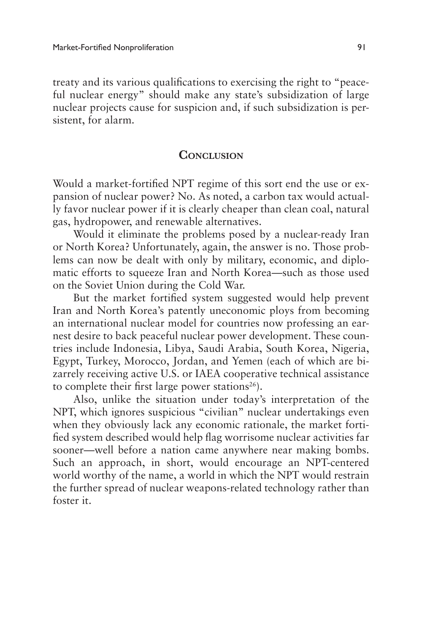treaty and its various qualifications to exercising the right to "peaceful nuclear energy" should make any state's subsidization of large nuclear projects cause for suspicion and, if such subsidization is persistent, for alarm.

### **CONCLUSION**

Would a market-fortified NPT regime of this sort end the use or expansion of nuclear power? No. As noted, a carbon tax would actually favor nuclear power if it is clearly cheaper than clean coal, natural gas, hydropower, and renewable alternatives.

Would it eliminate the problems posed by a nuclear-ready Iran or North Korea? Unfortunately, again, the answer is no. Those problems can now be dealt with only by military, economic, and diplomatic efforts to squeeze Iran and North Korea—such as those used on the Soviet Union during the Cold War.

But the market fortified system suggested would help prevent Iran and North Korea's patently uneconomic ploys from becoming an international nuclear model for countries now professing an earnest desire to back peaceful nuclear power development. These countries include Indonesia, Libya, Saudi Arabia, South Korea, Nigeria, Egypt, Turkey, Morocco, Jordan, and Yemen (each of which are bizarrely receiving active U.S. or IAEA cooperative technical assistance to complete their first large power stations<sup>26</sup>).

Also, unlike the situation under today's interpretation of the NPT, which ignores suspicious "civilian" nuclear undertakings even when they obviously lack any economic rationale, the market fortified system described would help flag worrisome nuclear activities far sooner—well before a nation came anywhere near making bombs. Such an approach, in short, would encourage an NPT-centered world worthy of the name, a world in which the NPT would restrain the further spread of nuclear weapons-related technology rather than foster it.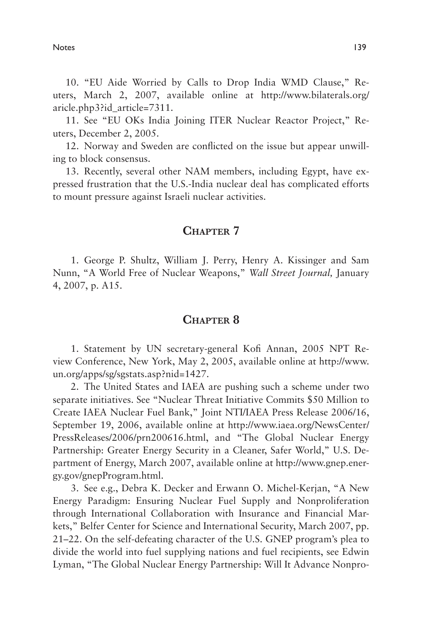Notes and the set of the set of the set of the set of the set of the set of the set of the set of the set of the set of the set of the set of the set of the set of the set of the set of the set of the set of the set of the

10. "EU Aide Worried by Calls to Drop India WMD Clause," Reuters, March 2, 2007, available online at http://www.bilaterals.org/ aricle.php3?id\_article=7311.

11. See "EU OKs India Joining ITER Nuclear Reactor Project," Reuters, December 2, 2005.

12. Norway and Sweden are conflicted on the issue but appear unwilling to block consensus.

13. Recently, several other NAM members, including Egypt, have expressed frustration that the U.S.-India nuclear deal has complicated efforts to mount pressure against Israeli nuclear activities.

### CHAPTER 7

1. George P. Shultz, William J. Perry, Henry A. Kissinger and Sam Nunn, "A World Free of Nuclear Weapons," *Wall Street Journal,* January 4, 2007, p. A15.

#### **Chapter 8**

1. Statement by UN secretary-general Kofi Annan, 2005 NPT Review Conference, New York, May 2, 2005, available online at http://www. un.org/apps/sg/sgstats.asp?nid=1427.

2. The United States and IAEA are pushing such a scheme under two separate initiatives. See "Nuclear Threat Initiative Commits \$50 Million to Create IAEA Nuclear Fuel Bank," Joint NTI/IAEA Press Release 2006/16, September 19, 2006, available online at http://www.iaea.org/NewsCenter/ PressReleases/2006/prn200616.html, and "The Global Nuclear Energy Partnership: Greater Energy Security in a Cleaner, Safer World," U.S. Department of Energy, March 2007, available online at http://www.gnep.energy.gov/gnepProgram.html.

3. See e.g., Debra K. Decker and Erwann O. Michel-Kerjan, "A New Energy Paradigm: Ensuring Nuclear Fuel Supply and Nonproliferation through International Collaboration with Insurance and Financial Markets," Belfer Center for Science and International Security, March 2007, pp. 21–22. On the self-defeating character of the U.S. GNEP program's plea to divide the world into fuel supplying nations and fuel recipients, see Edwin Lyman, "The Global Nuclear Energy Partnership: Will It Advance Nonpro-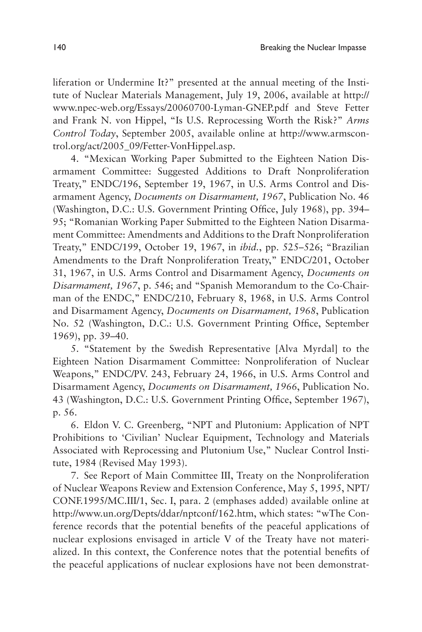liferation or Undermine It?" presented at the annual meeting of the Institute of Nuclear Materials Management, July 19, 2006, available at http:// www.npec-web.org/Essays/20060700-Lyman-GNEP.pdf and Steve Fetter and Frank N. von Hippel, "Is U.S. Reprocessing Worth the Risk?" *Arms Control Today*, September 2005, available online at http://www.armscontrol.org/act/2005\_09/Fetter-VonHippel.asp.

4. "Mexican Working Paper Submitted to the Eighteen Nation Disarmament Committee: Suggested Additions to Draft Nonproliferation Treaty," ENDC/196, September 19, 1967, in U.S. Arms Control and Disarmament Agency, *Documents on Disarmament, 1967*, Publication No. 46 (Washington, D.C.: U.S. Government Printing Office, July 1968), pp. 394– 95; "Romanian Working Paper Submitted to the Eighteen Nation Disarmament Committee: Amendments and Additions to the Draft Nonproliferation Treaty," ENDC/199, October 19, 1967, in *ibid.*, pp. 525–526; "Brazilian Amendments to the Draft Nonproliferation Treaty," ENDC/201, October 31, 1967, in U.S. Arms Control and Disarmament Agency, *Documents on Disarmament, 1967*, p. 546; and "Spanish Memorandum to the Co-Chairman of the ENDC," ENDC/210, February 8, 1968, in U.S. Arms Control and Disarmament Agency, *Documents on Disarmament, 1968*, Publication No. 52 (Washington, D.C.: U.S. Government Printing Office, September 1969), pp. 39–40.

5. "Statement by the Swedish Representative [Alva Myrdal] to the Eighteen Nation Disarmament Committee: Nonproliferation of Nuclear Weapons," ENDC/PV. 243, February 24, 1966, in U.S. Arms Control and Disarmament Agency, *Documents on Disarmament, 1966*, Publication No. 43 (Washington, D.C.: U.S. Government Printing Office, September 1967), p. 56.

6. Eldon V. C. Greenberg, "NPT and Plutonium: Application of NPT Prohibitions to 'Civilian' Nuclear Equipment, Technology and Materials Associated with Reprocessing and Plutonium Use," Nuclear Control Institute, 1984 (Revised May 1993).

7. See Report of Main Committee III, Treaty on the Nonproliferation of Nuclear Weapons Review and Extension Conference, May 5, 1995, NPT/ CONF.1995/MC.III/1, Sec. I, para. 2 (emphases added) available online at http://www.un.org/Depts/ddar/nptconf/162.htm, which states: "wThe Conference records that the potential benefits of the peaceful applications of nuclear explosions envisaged in article V of the Treaty have not materialized. In this context, the Conference notes that the potential benefits of the peaceful applications of nuclear explosions have not been demonstrat-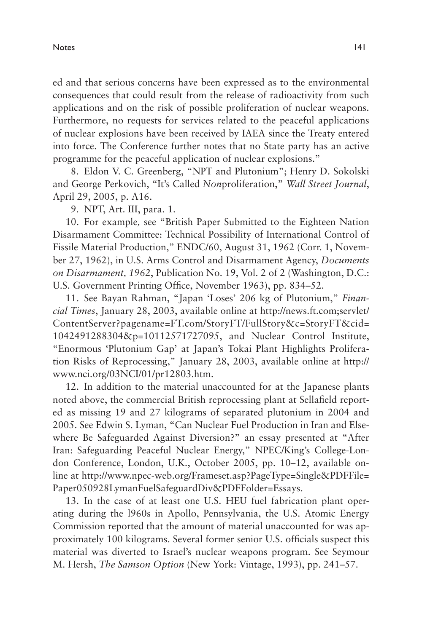ed and that serious concerns have been expressed as to the environmental consequences that could result from the release of radioactivity from such applications and on the risk of possible proliferation of nuclear weapons. Furthermore, no requests for services related to the peaceful applications of nuclear explosions have been received by IAEA since the Treaty entered into force. The Conference further notes that no State party has an active programme for the peaceful application of nuclear explosions."

8. Eldon V. C. Greenberg, "NPT and Plutonium"; Henry D. Sokolski and George Perkovich, "It's Called *Non*proliferation," *Wall Street Journal*, April 29, 2005, p. A16.

9. NPT, Art. III, para. 1.

10. For example*,* see "British Paper Submitted to the Eighteen Nation Disarmament Committee: Technical Possibility of International Control of Fissile Material Production," ENDC/60, August 31, 1962 (Corr. 1, November 27, 1962), in U.S. Arms Control and Disarmament Agency, *Documents on Disarmament, 1962*, Publication No. 19, Vol. 2 of 2 (Washington, D.C.: U.S. Government Printing Office, November 1963), pp. 834–52.

11. See Bayan Rahman, "Japan 'Loses' 206 kg of Plutonium," *Financial Times*, January 28, 2003, available online at http://news.ft.com;servlet/ ContentServer?pagename=FT.com/StoryFT/FullStory&c=StoryFT&cid= 1042491288304&p=10112571727095, and Nuclear Control Institute, "Enormous 'Plutonium Gap' at Japan's Tokai Plant Highlights Proliferation Risks of Reprocessing," January 28, 2003, available online at http:// www.nci.org/03NCI/01/pr12803.htm.

12. In addition to the material unaccounted for at the Japanese plants noted above, the commercial British reprocessing plant at Sellafield reported as missing 19 and 27 kilograms of separated plutonium in 2004 and 2005. See Edwin S. Lyman, "Can Nuclear Fuel Production in Iran and Elsewhere Be Safeguarded Against Diversion?" an essay presented at "After Iran: Safeguarding Peaceful Nuclear Energy," NPEC/King's College-London Conference, London, U.K., October 2005, pp. 10–12, available online at http://www.npec-web.org/Frameset.asp?PageType=Single&PDFFile= Paper050928LymanFuelSafeguardDiv&PDFFolder=Essays.

13. In the case of at least one U.S. HEU fuel fabrication plant operating during the l960s in Apollo, Pennsylvania, the U.S. Atomic Energy Commission reported that the amount of material unaccounted for was approximately 100 kilograms. Several former senior U.S. officials suspect this material was diverted to Israel's nuclear weapons program. See Seymour M. Hersh, *The Samson Option* (New York: Vintage, 1993), pp. 241–57.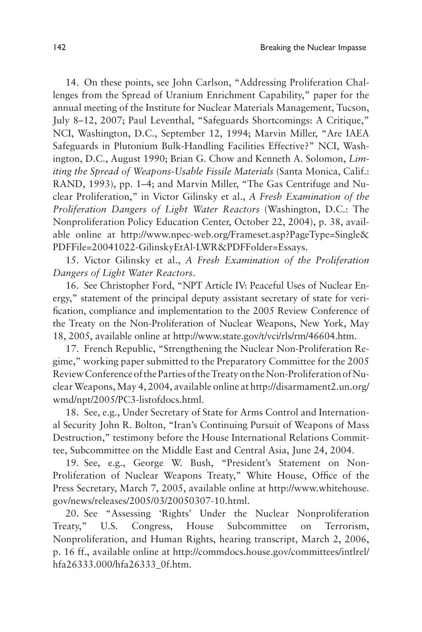14. On these points, see John Carlson, "Addressing Proliferation Challenges from the Spread of Uranium Enrichment Capability," paper for the annual meeting of the Institute for Nuclear Materials Management, Tucson, July 8–12, 2007; Paul Leventhal, "Safeguards Shortcomings: A Critique," NCI, Washington, D.C., September 12, 1994; Marvin Miller, "Are IAEA Safeguards in Plutonium Bulk-Handling Facilities Effective?" NCI, Washington, D.C., August 1990; Brian G. Chow and Kenneth A. Solomon, *Limiting the Spread of Weapons-Usable Fissile Materials* (Santa Monica, Calif.: RAND, 1993), pp. 1–4; and Marvin Miller, "The Gas Centrifuge and Nuclear Proliferation," in Victor Gilinsky et al., *A Fresh Examination of the Proliferation Dangers of Light Water Reactors* (Washington, D.C.: The Nonproliferation Policy Education Center, October 22, 2004), p. 38, available online at http://www.npec-web.org/Frameset.asp?PageType=Single& PDFFile=20041022-GilinskyEtAl-LWR&PDFFolder=Essays.

15. Victor Gilinsky et al., *A Fresh Examination of the Proliferation Dangers of Light Water Reactors*.

16. See Christopher Ford, "NPT Article IV: Peaceful Uses of Nuclear Energy," statement of the principal deputy assistant secretary of state for verification, compliance and implementation to the 2005 Review Conference of the Treaty on the Non-Proliferation of Nuclear Weapons, New York, May 18, 2005, available online at http://www.state.gov/t/vci/rls/rm/46604.htm.

17. French Republic, "Strengthening the Nuclear Non-Proliferation Regime," working paper submitted to the Preparatory Committee for the 2005 Review Conference of the Parties of the Treaty on the Non-Proliferation of Nuclear Weapons, May 4, 2004, available online at http://disarmament2.un.org/ wmd/npt/2005/PC3-listofdocs.html.

18. See, e.g., Under Secretary of State for Arms Control and International Security John R. Bolton, "Iran's Continuing Pursuit of Weapons of Mass Destruction," testimony before the House International Relations Committee, Subcommittee on the Middle East and Central Asia, June 24, 2004.

19. See, e.g., George W. Bush, "President's Statement on Non-Proliferation of Nuclear Weapons Treaty," White House, Office of the Press Secretary, March 7, 2005, available online at http://www.whitehouse. gov/news/releases/2005/03/20050307-10.html.

20. See "Assessing 'Rights' Under the Nuclear Nonproliferation Treaty," U.S. Congress, House Subcommittee on Terrorism, Nonproliferation, and Human Rights, hearing transcript, March 2, 2006, p. 16 ff., available online at http://commdocs.house.gov/committees/intlrel/ hfa26333.000/hfa26333\_0f.htm.